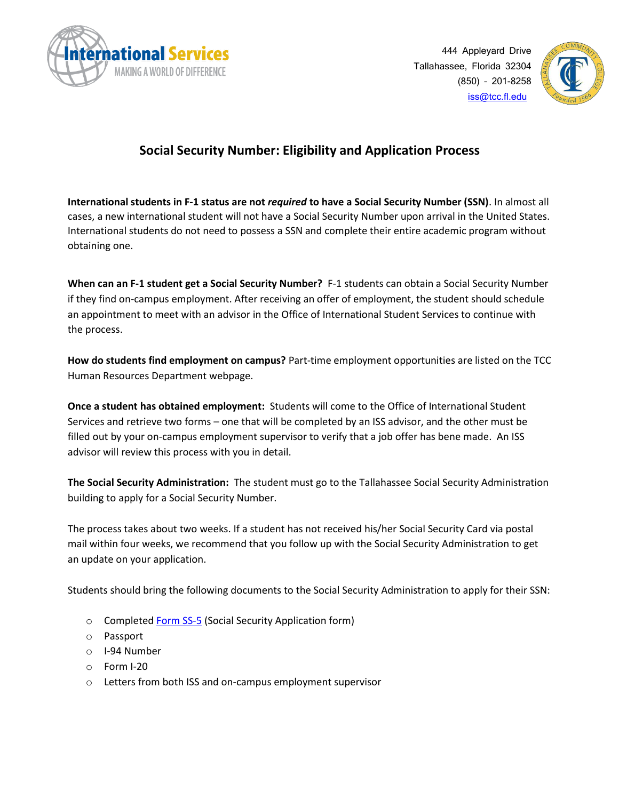

444 Appleyard Drive Tallahassee, Florida 32304 (850) – 201-8258 [iss@tcc.fl.edu](mailto:iss@tcc.fl.edu)



## **Social Security Number: Eligibility and Application Process**

**International students in F-1 status are not** *required* **to have a Social Security Number (SSN)**. In almost all cases, a new international student will not have a Social Security Number upon arrival in the United States. International students do not need to possess a SSN and complete their entire academic program without obtaining one.

**When can an F-1 student get a Social Security Number?** F-1 students can obtain a Social Security Number if they find on-campus employment. After receiving an offer of employment, the student should schedule an appointment to meet with an advisor in the Office of International Student Services to continue with the process.

**How do students find employment on campus?** Part-time employment opportunities are listed on the TCC Human Resources Department webpage.

**Once a student has obtained employment:** Students will come to the Office of International Student Services and retrieve two forms – one that will be completed by an ISS advisor, and the other must be filled out by your on-campus employment supervisor to verify that a job offer has bene made. An ISS advisor will review this process with you in detail.

**The Social Security Administration:** The student must go to the Tallahassee Social Security Administration building to apply for a Social Security Number.

The process takes about two weeks. If a student has not received his/her Social Security Card via postal mail within four weeks, we recommend that you follow up with the Social Security Administration to get an update on your application.

Students should bring the following documents to the Social Security Administration to apply for their SSN:

- o Complete[d Form SS-5](https://www.ssa.gov/forms/ss-5.pdf) (Social Security Application form)
- o Passport
- o I-94 Number
- o Form I-20
- o Letters from both ISS and on-campus employment supervisor